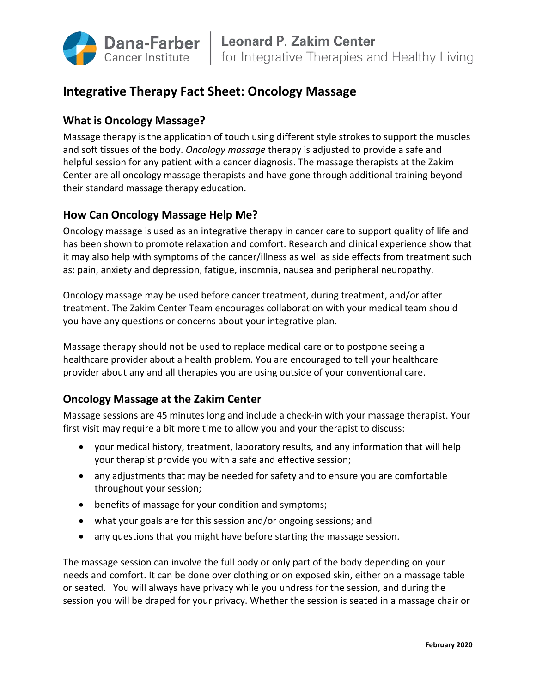

# **Integrative Therapy Fact Sheet: Oncology Massage**

## **What is Oncology Massage?**

Massage therapy is the application of touch using different style strokes to support the muscles and soft tissues of the body. *Oncology massage* therapy is adjusted to provide a safe and helpful session for any patient with a cancer diagnosis. The massage therapists at the Zakim Center are all oncology massage therapists and have gone through additional training beyond their standard massage therapy education.

# **How Can Oncology Massage Help Me?**

Oncology massage is used as an integrative therapy in cancer care to support quality of life and has been shown to promote relaxation and comfort. Research and clinical experience show that it may also help with symptoms of the cancer/illness as well as side effects from treatment such as: pain, anxiety and depression, fatigue, insomnia, nausea and peripheral neuropathy.

Oncology massage may be used before cancer treatment, during treatment, and/or after treatment. The Zakim Center Team encourages collaboration with your medical team should you have any questions or concerns about your integrative plan.

Massage therapy should not be used to replace medical care or to postpone seeing a healthcare provider about a health problem. You are encouraged to tell your healthcare provider about any and all therapies you are using outside of your conventional care.

# **Oncology Massage at the Zakim Center**

Massage sessions are 45 minutes long and include a check-in with your massage therapist. Your first visit may require a bit more time to allow you and your therapist to discuss:

- your medical history, treatment, laboratory results, and any information that will help your therapist provide you with a safe and effective session;
- any adjustments that may be needed for safety and to ensure you are comfortable throughout your session;
- benefits of massage for your condition and symptoms;
- what your goals are for this session and/or ongoing sessions; and
- any questions that you might have before starting the massage session.

The massage session can involve the full body or only part of the body depending on your needs and comfort. It can be done over clothing or on exposed skin, either on a massage table or seated. You will always have privacy while you undress for the session, and during the session you will be draped for your privacy. Whether the session is seated in a massage chair or